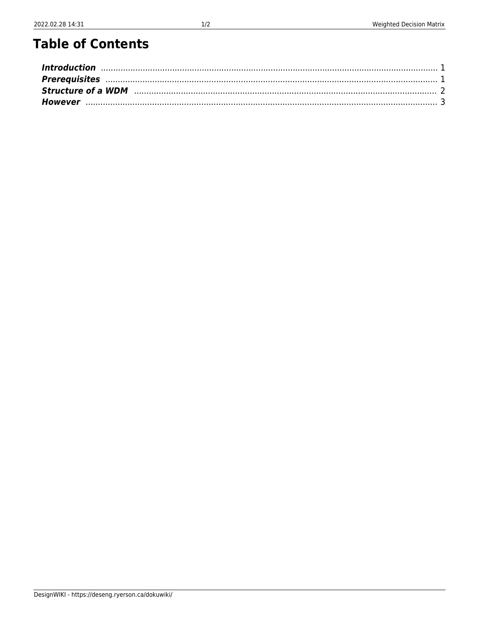# **Table of Contents**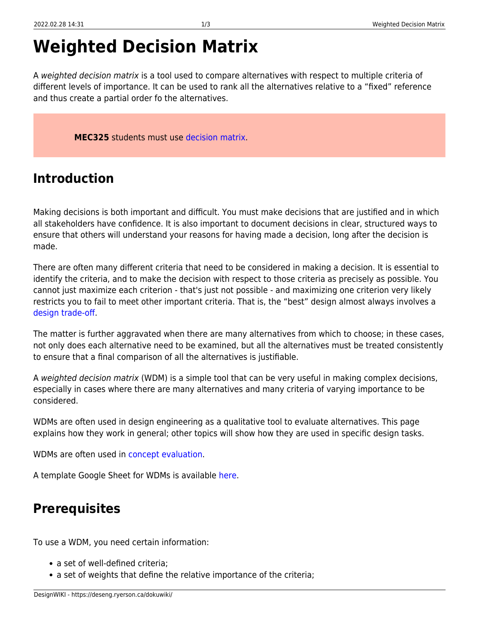# **Weighted Decision Matrix**

A weighted decision matrix is a tool used to compare alternatives with respect to multiple criteria of different levels of importance. It can be used to rank all the alternatives relative to a "fixed" reference and thus create a partial order fo the alternatives.

**MEC325** students must use [decision matrix.](https://deseng.ryerson.ca/dokuwiki/design:decision_matrix)

## <span id="page-2-0"></span>**Introduction**

Making decisions is both important and difficult. You must make decisions that are justified and in which all stakeholders have confidence. It is also important to document decisions in clear, structured ways to ensure that others will understand your reasons for having made a decision, long after the decision is made.

There are often many different criteria that need to be considered in making a decision. It is essential to identify the criteria, and to make the decision with respect to those criteria as precisely as possible. You cannot just maximize each criterion - that's just not possible - and maximizing one criterion very likely restricts you to fail to meet other important criteria. That is, the "best" design almost always involves a [design trade-off](https://deseng.ryerson.ca/dokuwiki/design:design_trade-off).

The matter is further aggravated when there are many alternatives from which to choose; in these cases, not only does each alternative need to be examined, but all the alternatives must be treated consistently to ensure that a final comparison of all the alternatives is justifiable.

A weighted decision matrix (WDM) is a simple tool that can be very useful in making complex decisions, especially in cases where there are many alternatives and many criteria of varying importance to be considered.

WDMs are often used in design engineering as a qualitative tool to evaluate alternatives. This page explains how they work in general; other topics will show how they are used in specific design tasks.

WDMs are often used in [concept evaluation.](https://deseng.ryerson.ca/dokuwiki/design:concept_evaluation)

A template Google Sheet for WDMs is available [here](https://docs.google.com/spreadsheets/d/1lEza4iWg2-g92pm9W0_x6RToK5tqQAeZcemSZYgpIdo/edit?usp=sharing).

#### <span id="page-2-1"></span>**Prerequisites**

To use a WDM, you need certain information:

- a set of well-defined criteria:
- a set of weights that define the relative importance of the criteria;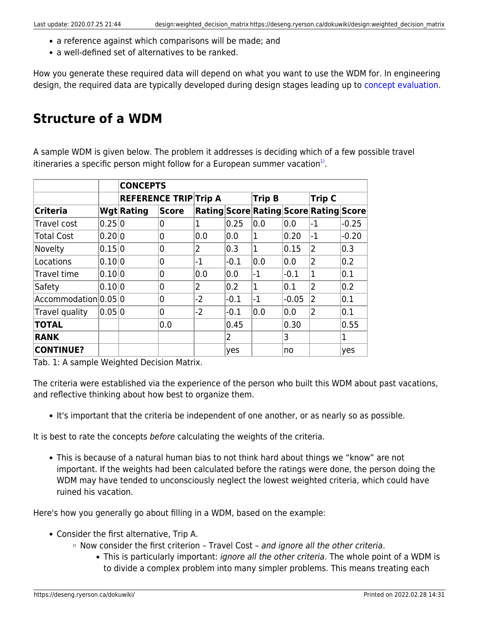- a reference against which comparisons will be made; and
- a well-defined set of alternatives to be ranked.

How you generate these required data will depend on what you want to use the WDM for. In engineering design, the required data are typically developed during design stages leading up to [concept evaluation](https://deseng.ryerson.ca/dokuwiki/design:concept_evaluation).

### <span id="page-3-0"></span>**Structure of a WDM**

A sample WDM is given below. The problem it addresses is deciding which of a few possible travel itineraries a specific person might follow for a European summer vacation<sup>[1\)](#page--1-0)</sup>.

|                      |        | <b>CONCEPTS</b>              |                |      |        |               |         |                                        |         |  |
|----------------------|--------|------------------------------|----------------|------|--------|---------------|---------|----------------------------------------|---------|--|
|                      |        | <b>REFERENCE TRIP Trip A</b> |                |      |        | <b>Trip B</b> |         | <b>Trip C</b>                          |         |  |
| <b>Criteria</b>      |        | <b>Wgt Rating</b>            | Score          |      |        |               |         | Rating Score Rating Score Rating Score |         |  |
| Travel cost          | 0.25 0 |                              | 0              | 1    | 0.25   | 0.0           | 0.0     | $-1$                                   | $-0.25$ |  |
| <b>Total Cost</b>    | 0.20 0 |                              | $\overline{0}$ | 0.0  | 0.0    | 1             | 0.20    | $-1$                                   | $-0.20$ |  |
| Novelty              | 0.15 0 |                              | 0              | 2    | 0.3    | 1             | 0.15    | $\overline{2}$                         | 0.3     |  |
| Locations            | 0.10 0 |                              | 0              | $-1$ | $-0.1$ | 0.0           | 0.0     | 2                                      | 0.2     |  |
| Travel time          | 0.10 0 |                              | $\overline{0}$ | 0.0  | 0.0    | $-1$          | $-0.1$  | $\mathbf{1}$                           | 0.1     |  |
| Safety               | 0.10 0 |                              | $\overline{0}$ | 2    | 0.2    | 1             | 0.1     | 2                                      | 0.2     |  |
| Accommodation 0.05 0 |        |                              | 0              | $-2$ | $-0.1$ | $-1$          | $-0.05$ | 2                                      | 0.1     |  |
| Travel quality       | 0.05 0 |                              | $\overline{0}$ | $-2$ | $-0.1$ | 0.0           | 0.0     | 2                                      | 0.1     |  |
| <b>TOTAL</b>         |        |                              | 0.0            |      | 0.45   |               | 0.30    |                                        | 0.55    |  |
| <b>RANK</b>          |        |                              |                |      | 2      |               | 3       |                                        | 1       |  |
| <b>CONTINUE?</b>     |        |                              |                |      | yes    |               | no      |                                        | yes     |  |

Tab. 1: A sample Weighted Decision Matrix.

The criteria were established via the experience of the person who built this WDM about past vacations, and reflective thinking about how best to organize them.

It's important that the criteria be independent of one another, or as nearly so as possible.

It is best to rate the concepts before calculating the weights of the criteria.

This is because of a natural human bias to not think hard about things we "know" are not important. If the weights had been calculated before the ratings were done, the person doing the WDM may have tended to unconsciously neglect the lowest weighted criteria, which could have ruined his vacation.

Here's how you generally go about filling in a WDM, based on the example:

- Consider the first alternative, Trip A.
	- $\circ$  Now consider the first criterion Travel Cost and ignore all the other criteria.
		- This is particularly important: *ignore all the other criteria*. The whole point of a WDM is to divide a complex problem into many simpler problems. This means treating each